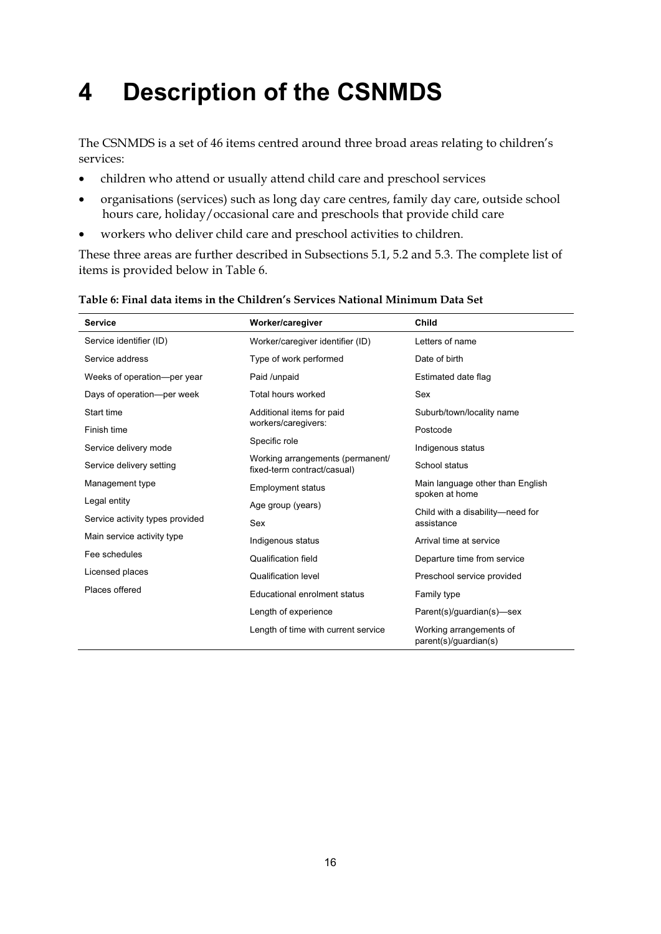# **4 Description of the CSNMDS**

The CSNMDS is a set of 46 items centred around three broad areas relating to children's services:

- children who attend or usually attend child care and preschool services
- organisations (services) such as long day care centres, family day care, outside school hours care, holiday/occasional care and preschools that provide child care
- workers who deliver child care and preschool activities to children.

These three areas are further described in Subsections 5.1, 5.2 and 5.3. The complete list of items is provided below in Table 6.

| <b>Service</b>                  | Worker/caregiver                                                | <b>Child</b>                                                                         |  |
|---------------------------------|-----------------------------------------------------------------|--------------------------------------------------------------------------------------|--|
| Service identifier (ID)         | Worker/caregiver identifier (ID)                                | Letters of name                                                                      |  |
| Service address                 | Type of work performed                                          | Date of birth                                                                        |  |
| Weeks of operation---per year   | Paid /unpaid                                                    | Estimated date flag                                                                  |  |
| Days of operation-per week      | Total hours worked                                              | Sex                                                                                  |  |
| Start time                      | Additional items for paid                                       | Suburb/town/locality name                                                            |  |
| Finish time                     | workers/caregivers:                                             | Postcode                                                                             |  |
| Service delivery mode           | Specific role                                                   | Indigenous status                                                                    |  |
| Service delivery setting        | Working arrangements (permanent/<br>fixed-term contract/casual) | School status<br>Main language other than English<br>spoken at home                  |  |
| Management type                 | <b>Employment status</b>                                        |                                                                                      |  |
| Legal entity                    | Age group (years)                                               | Child with a disability-need for                                                     |  |
| Service activity types provided | Sex                                                             | assistance                                                                           |  |
| Main service activity type      | Indigenous status                                               | Arrival time at service<br>Departure time from service<br>Preschool service provided |  |
| Fee schedules                   | <b>Qualification field</b>                                      |                                                                                      |  |
| Licensed places                 | <b>Qualification level</b>                                      |                                                                                      |  |
| Places offered                  | Educational enrolment status                                    | Family type                                                                          |  |
|                                 | Length of experience                                            | Parent(s)/guardian(s)-sex                                                            |  |
|                                 | Length of time with current service                             | Working arrangements of<br>parent(s)/guardian(s)                                     |  |

#### **Table 6: Final data items in the Children's Services National Minimum Data Set**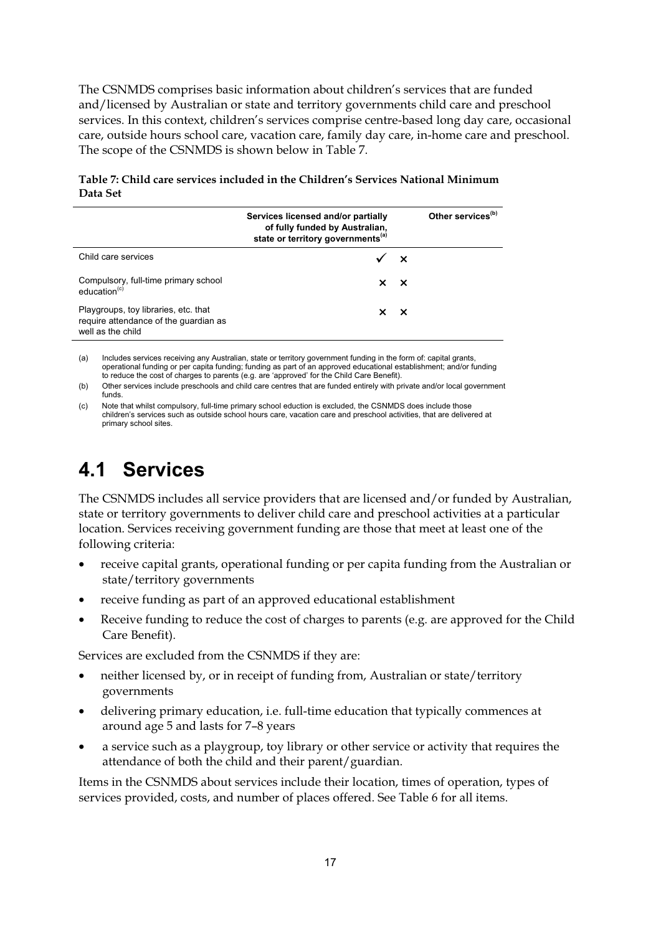The CSNMDS comprises basic information about children's services that are funded and/licensed by Australian or state and territory governments child care and preschool services. In this context, children's services comprise centre-based long day care, occasional care, outside hours school care, vacation care, family day care, in-home care and preschool. The scope of the CSNMDS is shown below in Table 7.

**Table 7: Child care services included in the Children's Services National Minimum Data Set** 

|                                                                                                    | Services licensed and/or partially<br>of fully funded by Australian,<br>state or territory governments <sup>(a)</sup> | Other services <sup>(b)</sup> |
|----------------------------------------------------------------------------------------------------|-----------------------------------------------------------------------------------------------------------------------|-------------------------------|
| Child care services                                                                                | $\checkmark$ x                                                                                                        |                               |
| Compulsory, full-time primary school<br>education <sup>(c)</sup>                                   | $\times$ $\times$                                                                                                     |                               |
| Playgroups, toy libraries, etc. that<br>require attendance of the guardian as<br>well as the child | $\times$ $\times$                                                                                                     |                               |

(a) Includes services receiving any Australian, state or territory government funding in the form of: capital grants, operational funding or per capita funding; funding as part of an approved educational establishment; and/or funding to reduce the cost of charges to parents (e.g. are 'approved' for the Child Care Benefit).

(b) Other services include preschools and child care centres that are funded entirely with private and/or local government funds.

(c) Note that whilst compulsory, full-time primary school eduction is excluded, the CSNMDS does include those children's services such as outside school hours care, vacation care and preschool activities, that are delivered at primary school sites.

## **4.1 Services**

The CSNMDS includes all service providers that are licensed and/or funded by Australian, state or territory governments to deliver child care and preschool activities at a particular location. Services receiving government funding are those that meet at least one of the following criteria:

- receive capital grants, operational funding or per capita funding from the Australian or state/territory governments
- receive funding as part of an approved educational establishment
- Receive funding to reduce the cost of charges to parents (e.g. are approved for the Child Care Benefit).

Services are excluded from the CSNMDS if they are:

- neither licensed by, or in receipt of funding from, Australian or state/territory governments
- delivering primary education, i.e. full-time education that typically commences at around age 5 and lasts for 7–8 years
- a service such as a playgroup, toy library or other service or activity that requires the attendance of both the child and their parent/guardian.

Items in the CSNMDS about services include their location, times of operation, types of services provided, costs, and number of places offered. See Table 6 for all items.